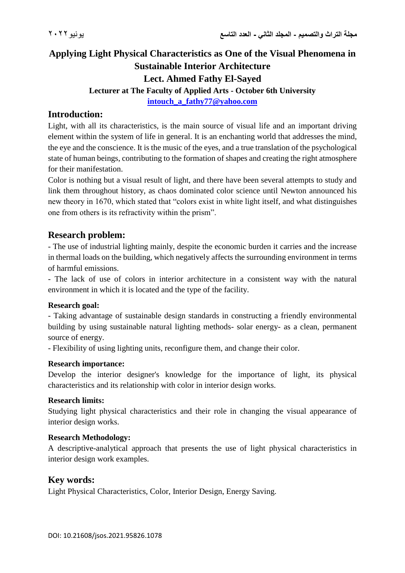# **Applying Light Physical Characteristics as One of the Visual Phenomena in Sustainable Interior Architecture Lect. Ahmed Fathy El-Sayed Lecturer at The Faculty of Applied Arts - October 6th University [intouch\\_a\\_fathy77@yahoo.com](mailto:intouch_a_fathy77@yahoo.com)**

### **Introduction:**

Light, with all its characteristics, is the main source of visual life and an important driving element within the system of life in general. It is an enchanting world that addresses the mind, the eye and the conscience. It is the music of the eyes, and a true translation of the psychological state of human beings, contributing to the formation of shapes and creating the right atmosphere for their manifestation.

Color is nothing but a visual result of light, and there have been several attempts to study and link them throughout history, as chaos dominated color science until Newton announced his new theory in 1670, which stated that "colors exist in white light itself, and what distinguishes one from others is its refractivity within the prism".

### **Research problem:**

- The use of industrial lighting mainly, despite the economic burden it carries and the increase in thermal loads on the building, which negatively affects the surrounding environment in terms of harmful emissions.

- The lack of use of colors in interior architecture in a consistent way with the natural environment in which it is located and the type of the facility.

### **Research goal:**

- Taking advantage of sustainable design standards in constructing a friendly environmental building by using sustainable natural lighting methods- solar energy- as a clean, permanent source of energy.

- Flexibility of using lighting units, reconfigure them, and change their color.

#### **Research importance:**

Develop the interior designer's knowledge for the importance of light, its physical characteristics and its relationship with color in interior design works.

#### **Research limits:**

Studying light physical characteristics and their role in changing the visual appearance of interior design works.

#### **Research Methodology:**

A descriptive-analytical approach that presents the use of light physical characteristics in interior design work examples.

### **Key words:**

Light Physical Characteristics, Color, Interior Design, Energy Saving.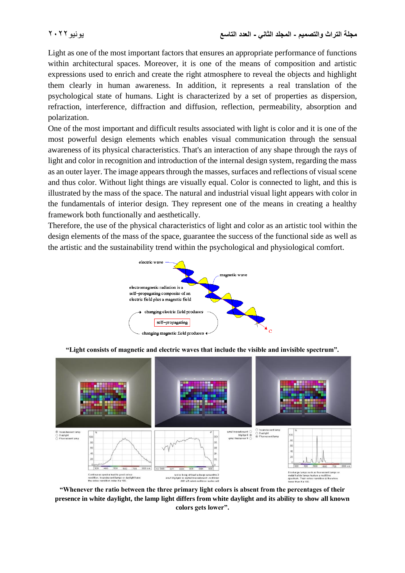Light as one of the most important factors that ensures an appropriate performance of functions within architectural spaces. Moreover, it is one of the means of composition and artistic expressions used to enrich and create the right atmosphere to reveal the objects and highlight them clearly in human awareness. In addition, it represents a real translation of the psychological state of humans. Light is characterized by a set of properties as dispersion, refraction, interference, diffraction and diffusion, reflection, permeability, absorption and polarization.

One of the most important and difficult results associated with light is color and it is one of the most powerful design elements which enables visual communication through the sensual awareness of its physical characteristics. That's an interaction of any shape through the rays of light and color in recognition and introduction of the internal design system, regarding the mass as an outer layer. The image appears through the masses, surfaces and reflections of visual scene and thus color. Without light things are visually equal. Color is connected to light, and this is illustrated by the mass of the space. The natural and industrial visual light appears with color in the fundamentals of interior design. They represent one of the means in creating a healthy framework both functionally and aesthetically.

Therefore, the use of the physical characteristics of light and color as an artistic tool within the design elements of the mass of the space, guarantee the success of the functional side as well as the artistic and the sustainability trend within the psychological and physiological comfort.



**"Light consists of magnetic and electric waves that include the visible and invisible spectrum".**



**"Whenever the ratio between the three primary light colors is absent from the percentages of their presence in white daylight, the lamp light differs from white daylight and its ability to show all known colors gets lower".**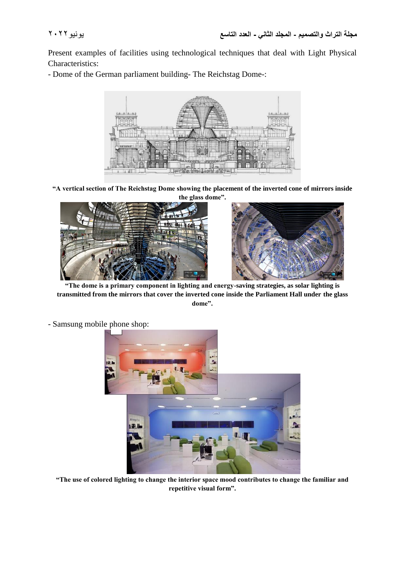Present examples of facilities using technological techniques that deal with Light Physical Characteristics:

- Dome of the German parliament building- The Reichstag Dome-:



**"A vertical section of The Reichstag Dome showing the placement of the inverted cone of mirrors inside the glass dome".**





**"The dome is a primary component in lighting and energy-saving strategies, as solar lighting is transmitted from the mirrors that cover the inverted cone inside the Parliament Hall under the glass dome".**



- Samsung mobile phone shop:

**"The use of colored lighting to change the interior space mood contributes to change the familiar and repetitive visual form".**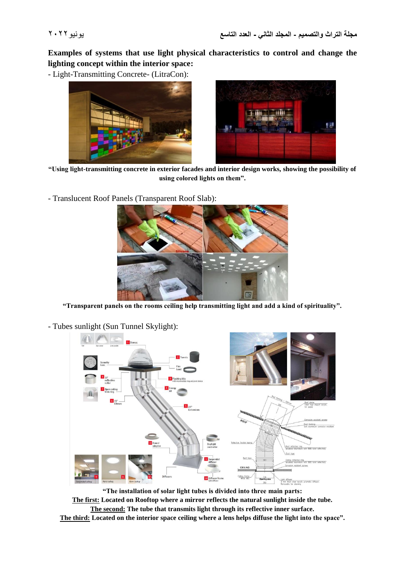**Examples of systems that use light physical characteristics to control and change the lighting concept within the interior space:**

- Light-Transmitting Concrete- (LitraCon):





**"Using light-transmitting concrete in exterior facades and interior design works, showing the possibility of using colored lights on them".**

- Translucent Roof Panels (Transparent Roof Slab):



**"Transparent panels on the rooms ceiling help transmitting light and add a kind of spirituality".**



- Tubes sunlight (Sun Tunnel Skylight):

**"The installation of solar light tubes is divided into three main parts:**

**The first: Located on Rooftop where a mirror reflects the natural sunlight inside the tube. The second: The tube that transmits light through its reflective inner surface.**

**The third: Located on the interior space ceiling where a lens helps diffuse the light into the space".**